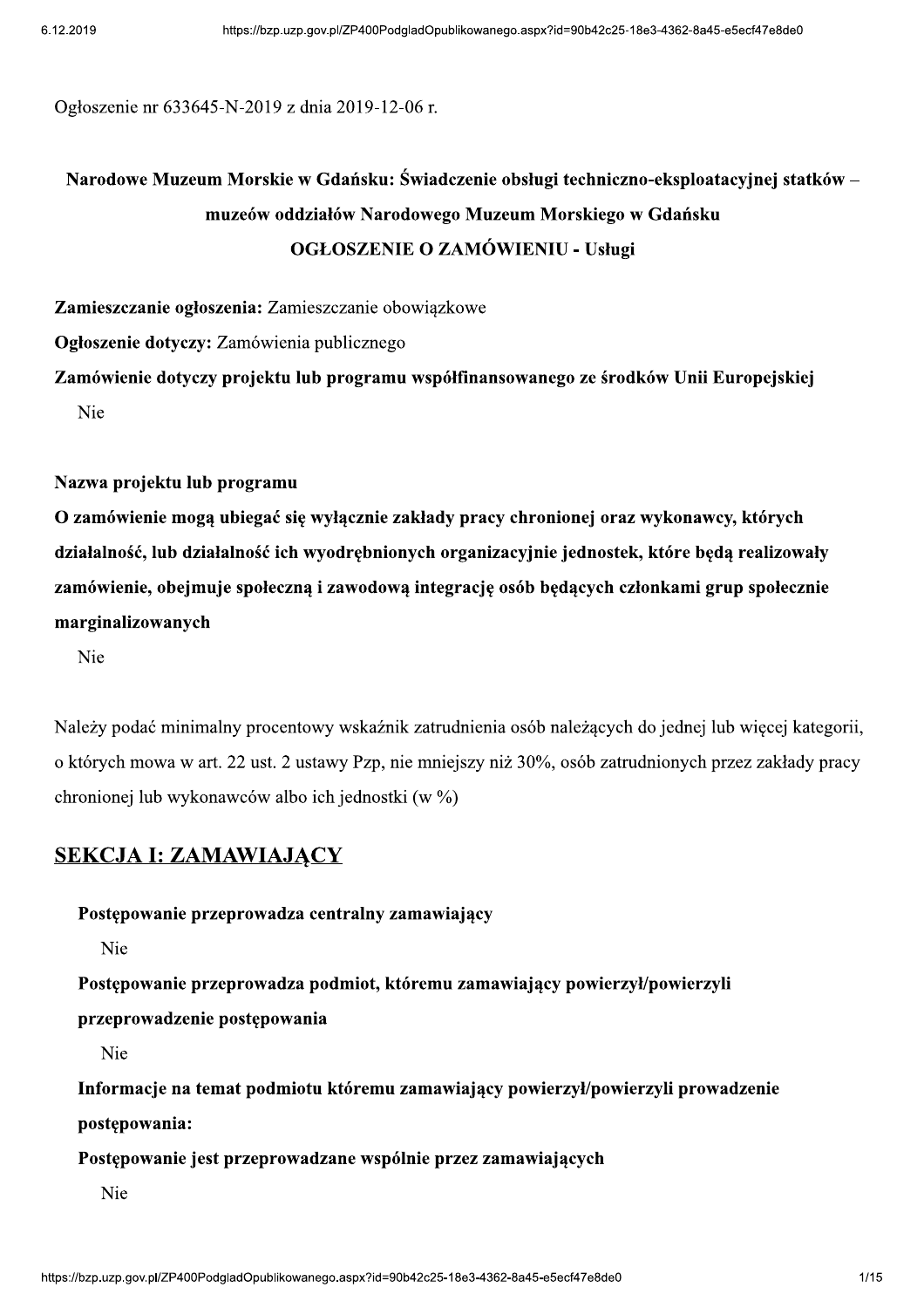Ogłoszenie nr 633645-N-2019 z dnia 2019-12-06 r.

# Narodowe Muzeum Morskie w Gdańsku: Świadczenie obsługi techniczno-eksploatacyjnej statków – muzeów oddziałów Narodowego Muzeum Morskiego w Gdańsku **OGŁOSZENIE O ZAMÓWIENIU - Usługi**

Zamieszczanie ogłoszenia: Zamieszczanie obowiązkowe

Ogłoszenie dotyczy: Zamówienia publicznego

Zamówienie dotyczy projektu lub programu współfinansowanego ze środków Unii Europejskiej Nie

#### Nazwa projektu lub programu

O zamówienie mogą ubiegać się wyłącznie zakłady pracy chronionej oraz wykonawcy, których działalność, lub działalność ich wyodrębnionych organizacyjnie jednostek, które będą realizowały zamówienie, obejmuje społeczna i zawodowa integracje osób bedacych członkami grup społecznie marginalizowanych

Nie

Należy podać minimalny procentowy wskaźnik zatrudnienia osób należacych do jednej lub wiecej kategorii. o których mowa w art. 22 ust. 2 ustawy Pzp, nie mniejszy niż 30%, osób zatrudnionych przez zakłady pracy chronionej lub wykonawców albo ich jednostki (w %)

#### **SEKCJA I: ZAMAWIAJĄCY**

Postępowanie przeprowadza centralny zamawiający

Nie

Postępowanie przeprowadza podmiot, któremu zamawiający powierzył/powierzyli

przeprowadzenie postępowania

Nie

Informacje na temat podmiotu któremu zamawiający powierzył/powierzyli prowadzenie postępowania:

Postępowanie jest przeprowadzane wspólnie przez zamawiających

Nie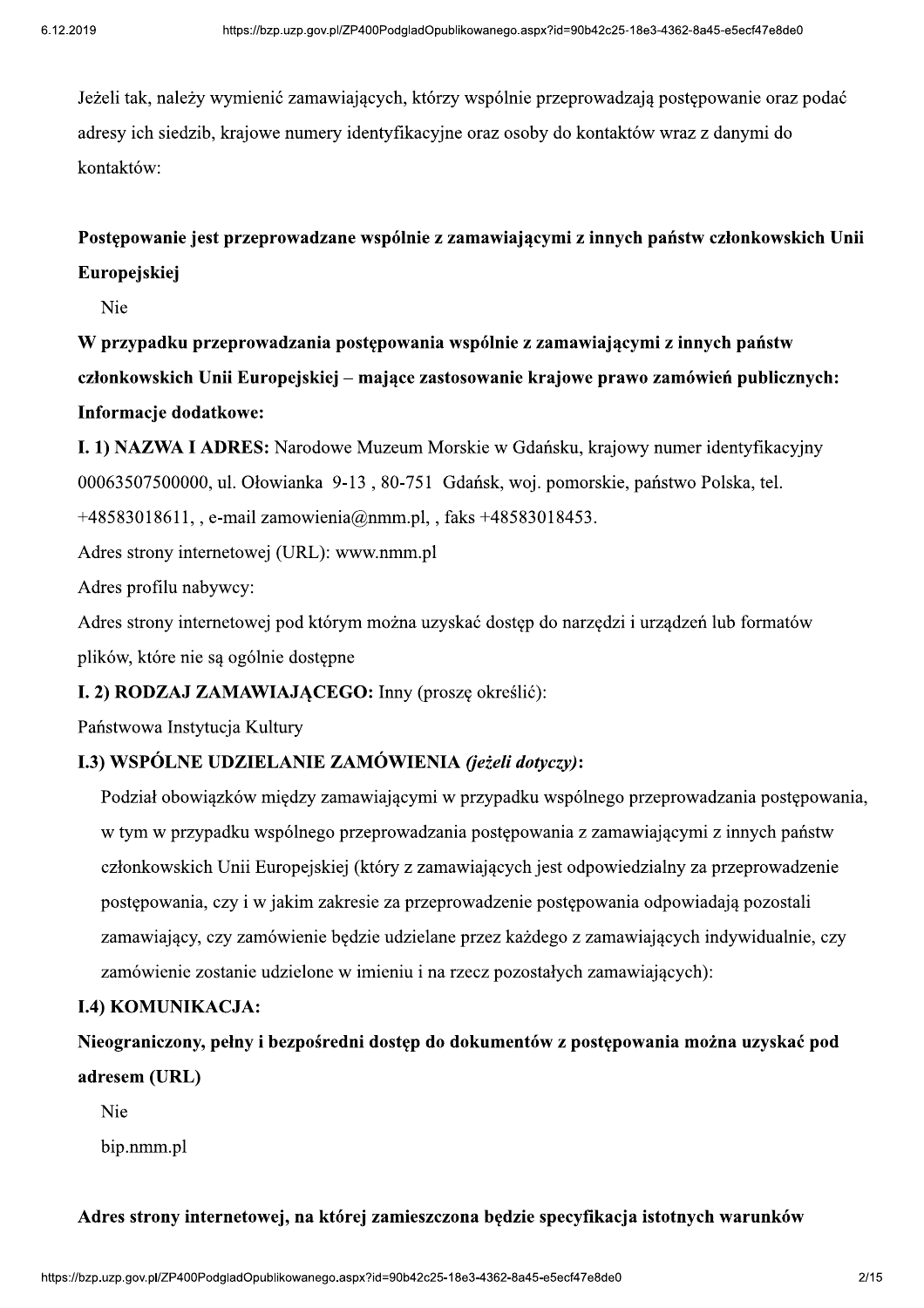8e3-4362-8a45-e5ecf47e8de0<br>ają postępowanie oraz podać<br>ów wraz z danymi do Jeżeli tak, należy wymienić zamawiających, którzy wspólnie przeprowadzają postępowanie oraz podać adresy ich siedzib, krajowe numery identyfikacyjne oraz osoby do kontaktów wraz z danymi do kontaktów:

# Postępowanie jest przeprowadzane wspólnie z zamawiającymi z innych państw członkowskich Unii Europejskiej

Nie

W przypadku przeprowadzania postępowania wspólnie z zamawiającymi z innych państw członkowskich Unii Europejskiej – mające zastosowanie krajowe prawo zamówień publicznych: Informacje dodatkowe:

I. 1) NAZWA I ADRES: Narodowe Muzeum Morskie w Gdańsku, krajowy numer identyfikacyjny 00063507500000, ul. Ołowianka 9-13, 80-751 Gdańsk, woj. pomorskie, państwo Polska, tel.  $+48583018611,$ , e-mail zamowienia@nmm.pl, , faks  $+48583018453$ .

Adres strony internetowej (URL): www.nmm.pl

Adres profilu nabywcy:

Adres strony internetowej pod którym można uzyskać dostep do narzedzi i urzadzeń lub formatów plików, które nie są ogólnie dostępne

#### I. 2) RODZAJ ZAMAWIAJĄCEGO: Inny (proszę określić):

Państwowa Instytucja Kultury

#### I.3) WSPÓLNE UDZIELANIE ZAMÓWIENIA (jeżeli dotyczy):

Podział obowiązków między zamawiającymi w przypadku wspólnego przeprowadzania postępowania, w tym w przypadku wspólnego przeprowadzania postępowania z zamawiającymi z innych państw członkowskich Unii Europejskiej (który z zamawiających jest odpowiedzialny za przeprowadzenie postępowania, czy i w jakim zakresie za przeprowadzenie postępowania odpowiadają pozostali zamawiający, czy zamówienie będzie udzielane przez każdego z zamawiających indywidualnie, czy zamówienie zostanie udzielone w imieniu i na rzecz pozostałych zamawiających):

#### I.4) KOMUNIKACJA:

Nieograniczony, pełny i bezpośredni dostęp do dokumentów z postępowania można uzyskać pod adresem (URL)

Nie

bip.nmm.pl

# 9 na będzie specyfikacja istotnych warunków<br>8e3-4362-8a45-e5ecf47e8de0<br>2/15 Adres strony internetowej, na której zamieszczona będzie specyfikacja istotnych warunków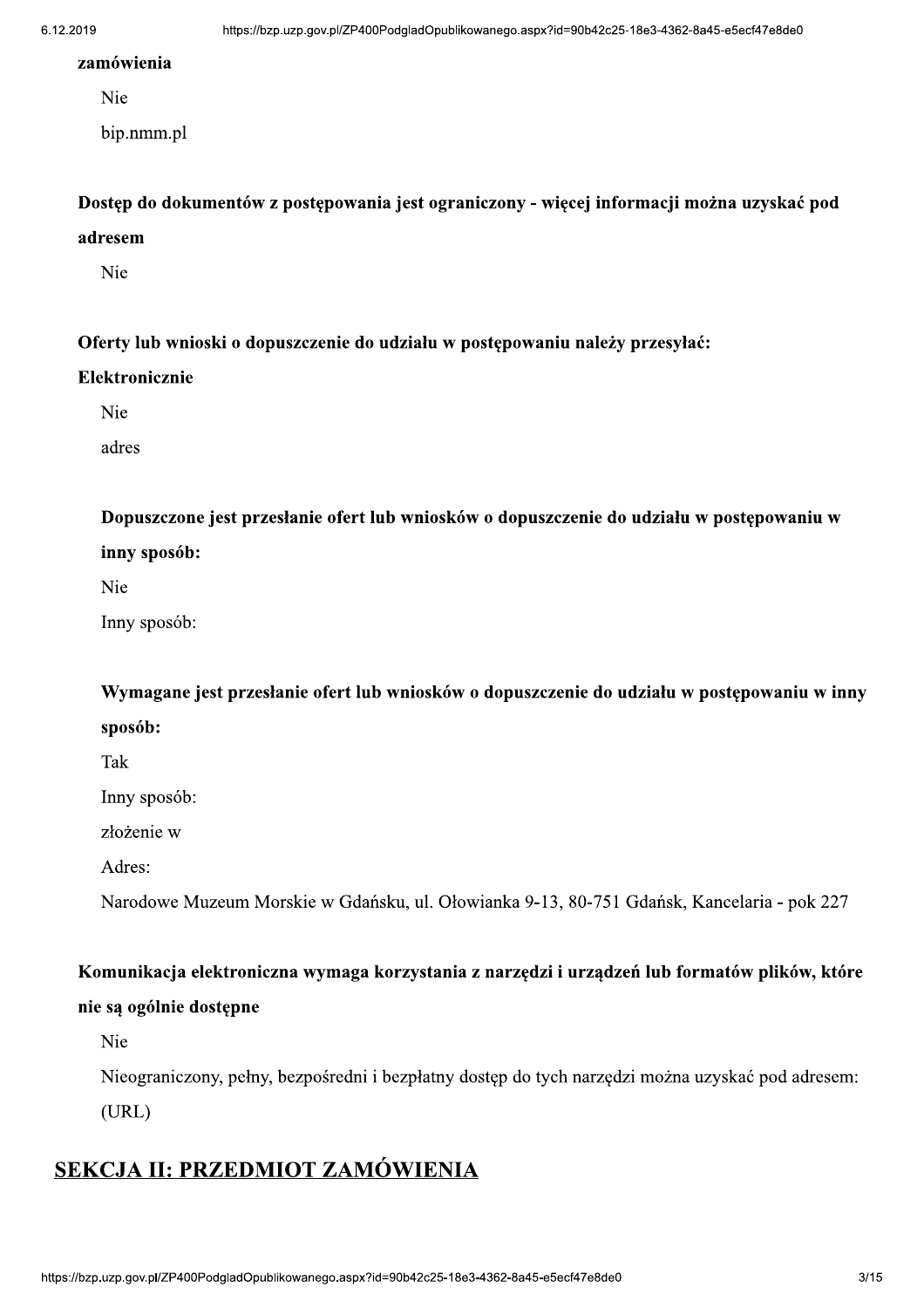#### zamówienia

Nie

bip.nmm.pl

Dostęp do dokumentów z postępowania jest ograniczony - więcej informacji można uzyskać pod adresem

Nie

Oferty lub wnioski o dopuszczenie do udziału w postępowaniu należy przesyłać:

#### Elektronicznie

Nie

adres

Dopuszczone jest przesłanie ofert lub wniosków o dopuszczenie do udziału w postępowaniu w inny sposób:

Nie

Inny sposób:

Wymagane jest przesłanie ofert lub wniosków o dopuszczenie do udziału w postępowaniu w inny sposób:

Tak

Inny sposób:

złożenie w

Adres:

Narodowe Muzeum Morskie w Gdańsku, ul. Ołowianka 9-13, 80-751 Gdańsk, Kancelaria - pok 227

#### Komunikacja elektroniczna wymaga korzystania z narzędzi i urządzeń lub formatów plików, które

#### nie są ogólnie dostępne

Nie

Nieograniczony, pełny, bezpośredni i bezpłatny dostęp do tych narzędzi można uzyskać pod adresem:

 $(URL)$ 

# SEKCJA II: PRZEDMIOT ZAMÓWIENIA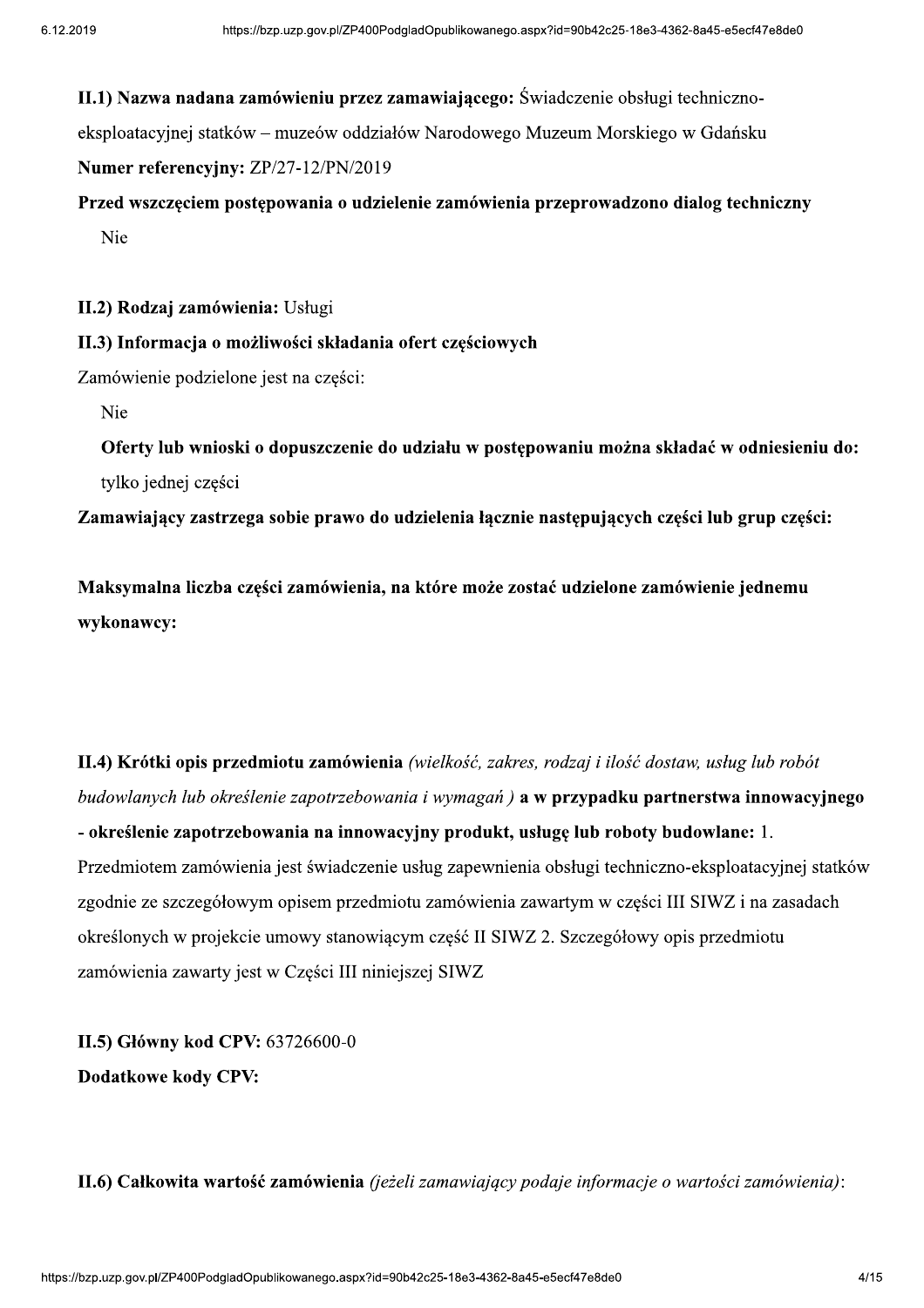II.1) Nazwa nadana zamówieniu przez zamawiającego: Świadczenie obsługi techniczno-

eksploatacyjnej statków – muzeów oddziałów Narodowego Muzeum Morskiego w Gdańsku

Numer referencyjny: ZP/27-12/PN/2019

Przed wszczęciem postępowania o udzielenie zamówienia przeprowadzono dialog techniczny Nie

II.2) Rodzaj zamówienia: Usługi

II.3) Informacja o możliwości składania ofert częściowych

Zamówienie podzielone jest na części:

Nie

Oferty lub wnioski o dopuszczenie do udziału w postępowaniu można składać w odniesieniu do: tylko jednej części

Zamawiający zastrzega sobie prawo do udzielenia łącznie następujących części lub grup części:

Maksymalna liczba cześci zamówienia, na które może zostać udzielone zamówienie jednemu wykonawcy:

II.4) Krótki opis przedmiotu zamówienia (wielkość, zakres, rodzaj i ilość dostaw, usług lub robót budowlanych lub określenie zapotrzebowania i wymagań) a w przypadku partnerstwa innowacyjnego - określenie zapotrzebowania na innowacyjny produkt, usługę lub roboty budowlane: 1. Przedmiotem zamówienia jest świadczenie usług zapewnienia obsługi techniczno-eksploatacyjnej statków zgodnie ze szczegółowym opisem przedmiotu zamówienia zawartym w części III SIWZ i na zasadach określonych w projekcie umowy stanowiącym część II SIWZ 2. Szczegółowy opis przedmiotu zamówienia zawarty jest w Części III niniejszej SIWZ

II.5) Główny kod CPV: 63726600-0 **Dodatkowe kody CPV:** 

II.6) Całkowita wartość zamówienia (jeżeli zamawiający podaje informacje o wartości zamówienia):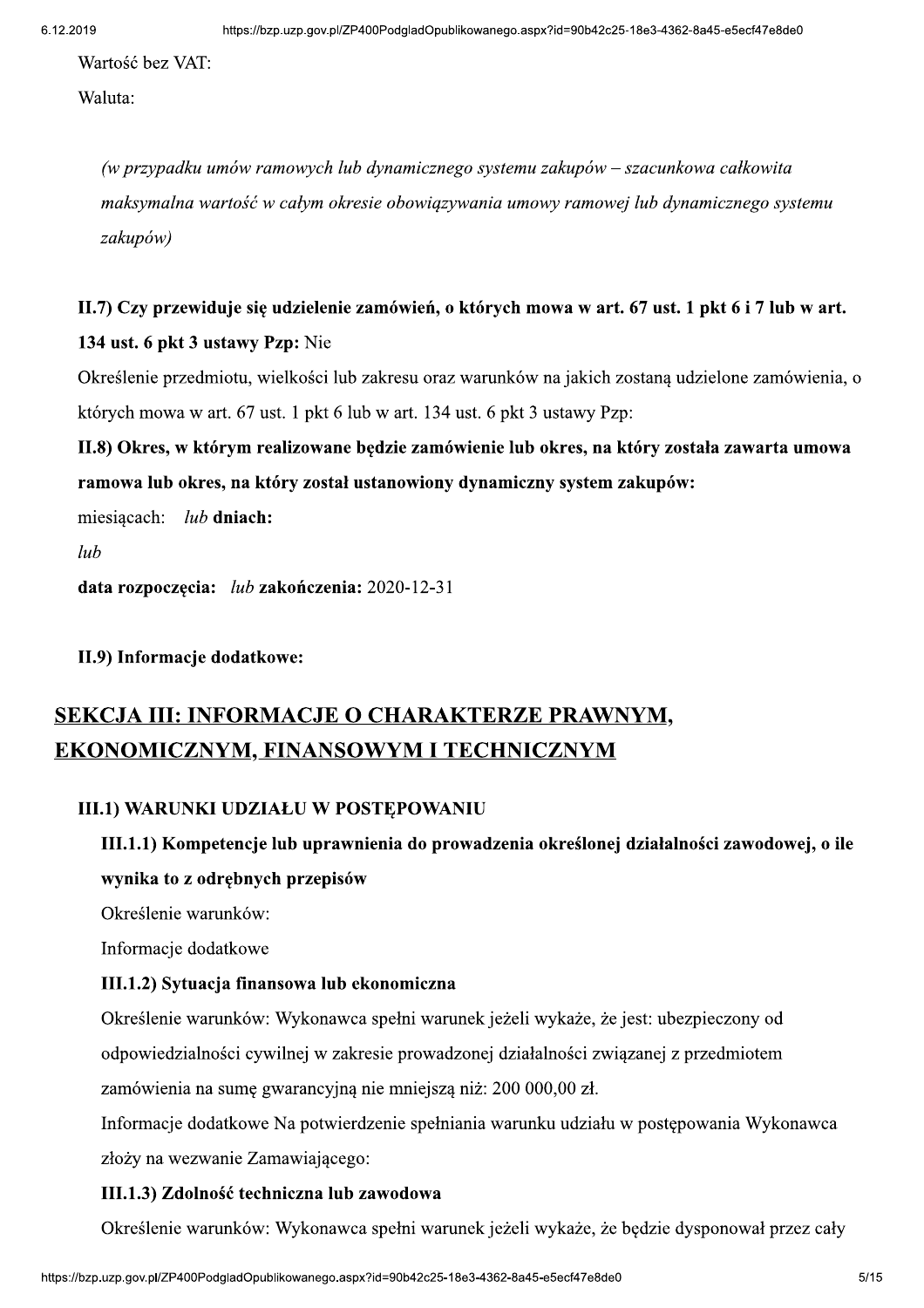Wartość bez VAT:

Waluta:

(w przypadku umów ramowych lub dynamicznego systemu zakupów – szacunkowa całkowita maksymalna wartość w całym okresie obowiazywania umowy ramowej lub dynamicznego systemu zakupów)

# II.7) Czy przewiduje się udzielenie zamówień, o których mowa w art. 67 ust. 1 pkt 6 i 7 lub w art. 134 ust. 6 pkt 3 ustawy Pzp: Nie

Określenie przedmiotu, wielkości lub zakresu oraz warunków na jakich zostaną udzielone zamówienia, o których mowa w art. 67 ust. 1 pkt 6 lub w art. 134 ust. 6 pkt 3 ustawy Pzp:

# II.8) Okres, w którym realizowane będzie zamówienie lub okres, na który została zawarta umowa ramowa lub okres, na który został ustanowiony dynamiczny system zakupów:

 $miesiacach:$   $lub$  dniach:

 $lub$ 

data rozpoczecia:  $lub$ zakończenia: 2020-12-31

II.9) Informacje dodatkowe:

# SEKCJA III: INFORMACJE O CHARAKTERZE PRAWNYM, **EKONOMICZNYM, FINANSOWYM I TECHNICZNYM**

#### III.1) WARUNKI UDZIAŁU W POSTEPOWANIU

# III.1.1) Kompetencje lub uprawnienia do prowadzenia określonej działalności zawodowej, o ile wynika to z odrębnych przepisów

Określenie warunków:

Informacje dodatkowe

#### III.1.2) Sytuacja finansowa lub ekonomiczna

Określenie warunków: Wykonawca spełni warunek jeżeli wykaże, że jest: ubezpieczony od odpowiedzialności cywilnej w zakresie prowadzonej działalności związanej z przedmiotem zamówienia na sumę gwarancyjną nie mniejszą niż: 200 000,00 zł.

Informacje dodatkowe Na potwierdzenie spełniania warunku udziału w postępowania Wykonawca złoży na wezwanie Zamawiającego:

#### III.1.3) Zdolność techniczna lub zawodowa

unek jeżeli wykaże, że będzie dysponował przez cały<br>8e3-4362-8a45-e5ecf47e8de0 5/15 Określenie warunków: Wykonawca spełni warunek jeżeli wykaże, że będzie dysponował przez cały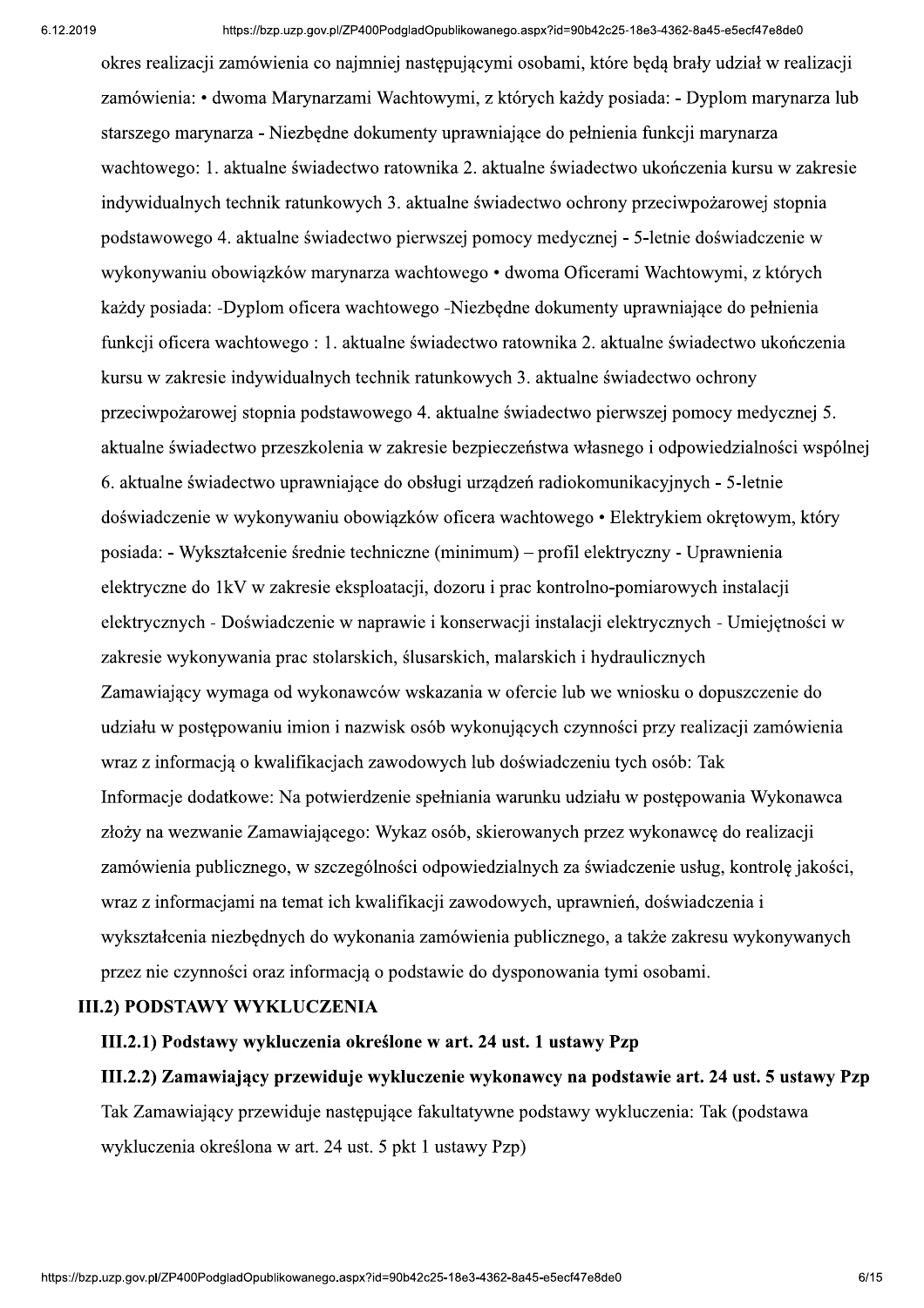okres realizacji zamówienia co najmniej następującymi osobami, które będą brały udział w realizacji zamówienia: • dwoma Marynarzami Wachtowymi, z których każdy posiada: - Dyplom marynarza lub starszego marynarza - Niezbedne dokumenty uprawniające do pełnienia funkcji marynarza wachtowego: 1. aktualne świadectwo ratownika 2. aktualne świadectwo ukończenia kursu w zakresie indywidualnych technik ratunkowych 3. aktualne świadectwo ochrony przeciwpożarowej stopnia podstawowego 4. aktualne świadectwo pierwszej pomocy medycznej - 5-letnie doświadczenie w wykonywaniu obowiazków marynarza wachtowego • dwoma Oficerami Wachtowymi, z których każdy posiada: -Dyplom oficera wachtowego -Niezbędne dokumenty uprawniające do pełnienia funkcji oficera wachtowego: 1. aktualne świadectwo ratownika 2. aktualne świadectwo ukończenia kursu w zakresie indywidualnych technik ratunkowych 3. aktualne świadectwo ochrony przeciwpożarowej stopnia podstawowego 4. aktualne świadectwo pierwszej pomocy medycznej 5. aktualne świadectwo przeszkolenia w zakresie bezpieczeństwa własnego i odpowiedzialności wspólnej 6. aktualne świadectwo uprawniające do obsługi urządzeń radiokomunikacyjnych - 5-letnie doświadczenie w wykonywaniu obowiązków oficera wachtowego • Elektrykiem okrętowym, który posiada: - Wykształcenie średnie techniczne (minimum) – profil elektryczny - Uprawnienia elektryczne do 1kV w zakresie eksploatacji, dozoru i prac kontrolno-pomiarowych instalacji elektrycznych - Doświadczenie w naprawie i konserwacji instalacji elektrycznych - Umiejetności w zakresie wykonywania prac stolarskich, ślusarskich, malarskich i hydraulicznych Zamawiający wymaga od wykonawców wskazania w ofercie lub we wniosku o dopuszczenie do udziału w postepowaniu imion i nazwisk osób wykonujących czynności przy realizacji zamówienia wraz z informacia o kwalifikaciach zawodowych lub doświadczeniu tych osób: Tak Informacie dodatkowe: Na potwierdzenie spełniania warunku udziału w postepowania Wykonawca złoży na wezwanie Zamawiającego: Wykaz osób, skierowanych przez wykonawce do realizacji zamówienia publicznego, w szczególności odpowiedzialnych za świadczenie usług, kontrole jakości, wraz z informacjami na temat ich kwalifikacji zawodowych, uprawnień, doświadczenia i wykształcenia niezbędnych do wykonania zamówienia publicznego, a także zakresu wykonywanych przez nie czynności oraz informacją o podstawie do dysponowania tymi osobami.

#### **III.2) PODSTAWY WYKLUCZENIA**

#### III.2.1) Podstawy wykluczenia określone w art. 24 ust. 1 ustawy Pzp

#### III.2.2) Zamawiający przewiduje wykluczenie wykonawcy na podstawie art. 24 ust. 5 ustawy Pzp

Tak Zamawiający przewiduje następujące fakultatywne podstawy wykluczenia: Tak (podstawa wykluczenia określona w art. 24 ust. 5 pkt 1 ustawy Pzp)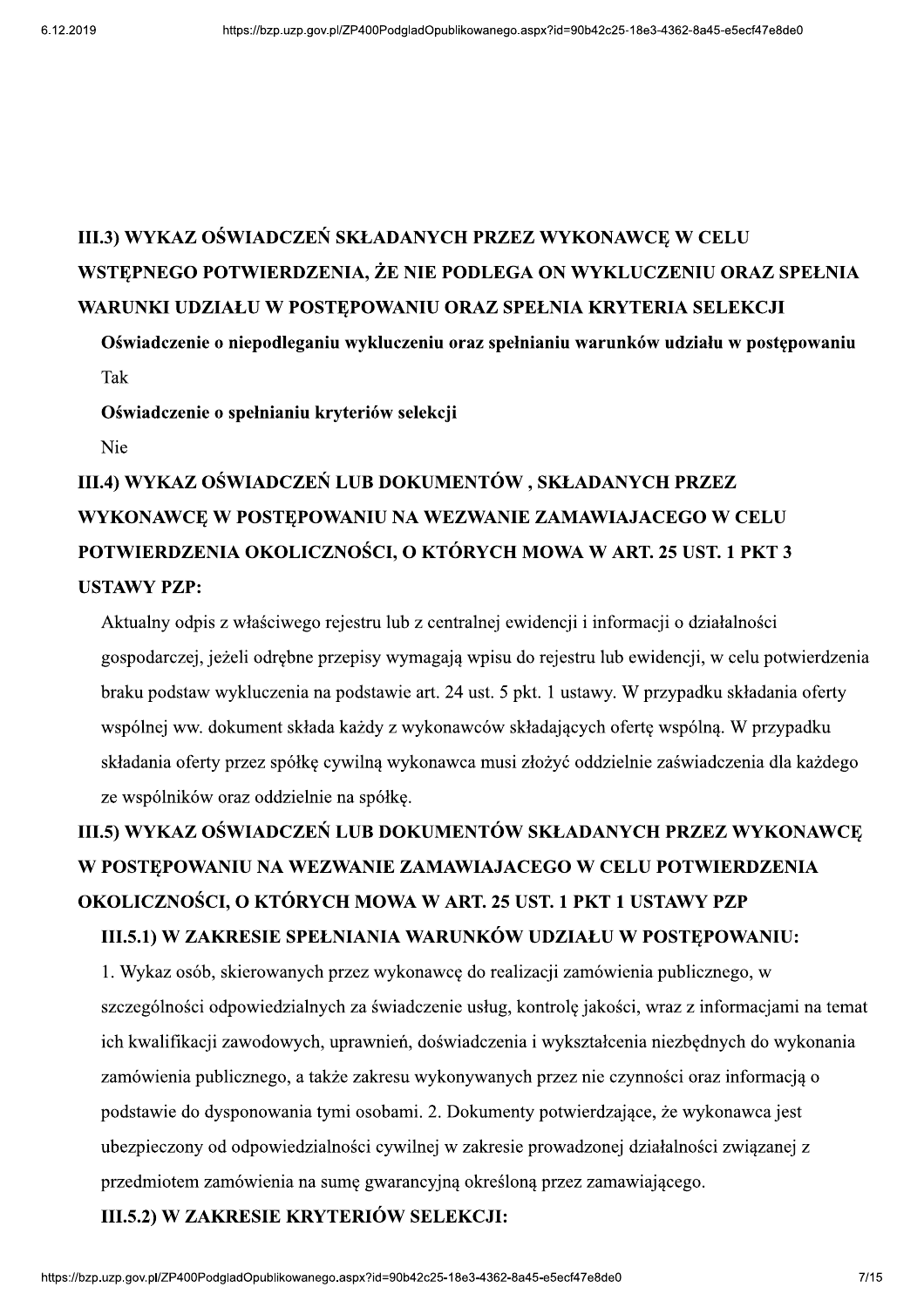# III.3) WYKAZ OŚWIADCZEŃ SKŁADANYCH PRZEZ WYKONAWCE W CELU WSTEPNEGO POTWIERDZENIA, ŻE NIE PODLEGA ON WYKLUCZENIU ORAZ SPEŁNIA WARUNKI UDZIAŁU W POSTĘPOWANIU ORAZ SPEŁNIA KRYTERIA SELEKCJI

Oświadczenie o niepodleganiu wykluczeniu oraz spełnianiu warunków udziału w postępowaniu Tak

Oświadczenie o spełnianiu kryteriów selekcji

Nie

# III.4) WYKAZ OŚWIADCZEŃ LUB DOKUMENTÓW, SKŁADANYCH PRZEZ WYKONAWCĘ W POSTĘPOWANIU NA WEZWANIE ZAMAWIAJACEGO W CELU POTWIERDZENIA OKOLICZNOŚCI, O KTÓRYCH MOWA W ART. 25 UST. 1 PKT 3 USTAWY PZP:

Aktualny odpis z właściwego rejestru lub z centralnej ewidencji i informacji o działalności gospodarczej, jeżeli odrębne przepisy wymagają wpisu do rejestru lub ewidencji, w celu potwierdzenia braku podstaw wykluczenia na podstawie art. 24 ust. 5 pkt. 1 ustawy. W przypadku składania oferty wspólnej ww. dokument składa każdy z wykonawców składających ofertę wspólną. W przypadku składania oferty przez spółkę cywilną wykonawca musi złożyć oddzielnie zaświadczenia dla każdego ze wspólników oraz oddzielnie na spółkę.

# III.5) WYKAZ OŚWIADCZEŃ LUB DOKUMENTÓW SKŁADANYCH PRZEZ WYKONAWCĘ W POSTĘPOWANIU NA WEZWANIE ZAMAWIAJACEGO W CELU POTWIERDZENIA OKOLICZNOŚCI, O KTÓRYCH MOWA W ART. 25 UST. 1 PKT 1 USTAWY PZP III.5.1) W ZAKRESIE SPEŁNIANIA WARUNKÓW UDZIAŁU W POSTEPOWANIU:

ą określoną przez zamawiającego.<br>X**KCJI:**<br>8e3-4362-8a45-e5ecf47e8de0 7/15 1. Wykaz osób, skierowanych przez wykonawcę do realizacji zamówienia publicznego, w szczególności odpowiedzialnych za świadczenie usług, kontrolę jakości, wraz z informacjami na temat ich kwalifikacji zawodowych, uprawnień, doświadczenia i wykształcenia niezbędnych do wykonania zamówienia publicznego, a także zakresu wykonywanych przez nie czynności oraz informacją o podstawie do dysponowania tymi osobami. 2. Dokumenty potwierdzające, że wykonawca jest ubezpieczony od odpowiedzialności cywilnej w zakresie prowadzonej działalności związanej z przedmiotem zamówienia na sumę gwarancyjną określoną przez zamawiającego.

III.5.2) W ZAKRESIE KRYTERIÓW SELEKCJI: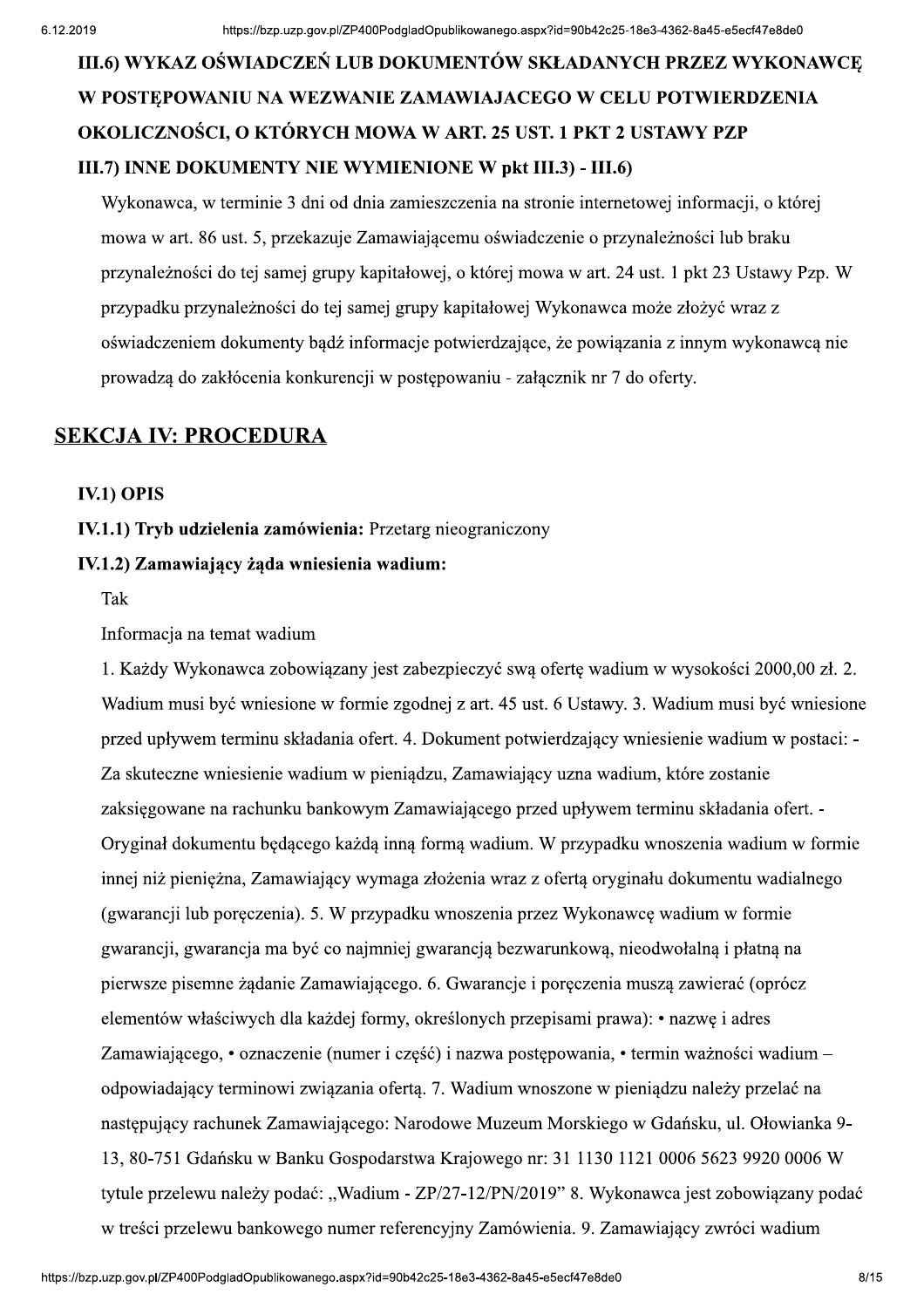# <sup>8e3-4362-8a45-e5ecf47e8de0<br>CH PRZEZ WYKONAWCĘ<br>U POTWIERDZENIA<br>JSTAWY PZP</sup> III.6) WYKAZ OŚWIADCZEŃ LUB DOKUMENTÓW SKŁADANYCH PRZEZ WYKONAWCE W POSTEPOWANIU NA WEZWANIE ZAMAWIAJACEGO W CELU POTWIERDZENIA OKOLICZNOŚCI, O KTÓRYCH MOWA W ART. 25 UST. 1 PKT 2 USTAWY PZP III.7) INNE DOKUMENTY NIE WYMIENIONE W pkt III.3) - III.6)

Wykonawca, w terminie 3 dni od dnia zamieszczenia na stronie internetowej informacji, o której mowa w art. 86 ust. 5, przekazuje Zamawiającemu oświadczenie o przynależności lub braku przynależności do tej samej grupy kapitałowej, o której mowa w art. 24 ust. 1 pkt 23 Ustawy Pzp. W przypadku przynależności do tej samej grupy kapitałowej Wykonawca może złożyć wraz z oświadczeniem dokumenty bądź informacje potwierdzające, że powiązania z innym wykonawcą nie prowadzą do zakłócenia konkurencji w postępowaniu - załącznik nr 7 do oferty.

#### **SEKCJA IV: PROCEDURA**

#### **IV.1) OPIS**

IV.1.1) Tryb udzielenia zamówienia: Przetarg nieograniczony

#### IV.1.2) Zamawiający żąda wniesienia wadium:

Tak

#### Informacja na temat wadium

rajowego in: 31 1130 1121 0000 3023 9920 0000 w<br>7-12/PN/2019" 8. Wykonawca jest zobowiązany podać<br>ny Zamówienia. 9. Zamawiający zwróci wadium<br>8e3-4362-8a45-e5ecf47e8de0 8/15 1. Każdy Wykonawca zobowiązany jest zabezpieczyć swą ofertę wadium w wysokości 2000,00 zł. 2. Wadium musi być wniesione w formie zgodnej z art. 45 ust. 6 Ustawy. 3. Wadium musi być wniesione przed upływem terminu składania ofert. 4. Dokument potwierdzający wniesienie wadium w postaci: -Za skuteczne wniesienie wadium w pieniadzu, Zamawiający uzna wadium, które zostanie zaksiegowane na rachunku bankowym Zamawiajacego przed upływem terminu składania ofert. -Oryginał dokumentu będącego każdą inną formą wadium. W przypadku wnoszenia wadium w formie innej niż pieniężna, Zamawiający wymaga złożenia wraz z ofertą oryginału dokumentu wadialnego (gwarancji lub poręczenia). 5. W przypadku wnoszenia przez Wykonawcę wadium w formie gwarancji, gwarancja ma być co najmniej gwarancją bezwarunkową, nieodwołalną i płatną na pierwsze pisemne żądanie Zamawiającego. 6. Gwarancje i poręczenia muszą zawierać (oprócz elementów właściwych dla każdej formy, określonych przepisami prawa): • nazwę i adres Zamawiającego, • oznaczenie (numer i część) i nazwa postępowania, • termin ważności wadium – odpowiadający terminowi związania ofertą. 7. Wadium wnoszone w pieniądzu należy przelać na następujący rachunek Zamawiającego: Narodowe Muzeum Morskiego w Gdańsku, ul. Ołowianka 9-13, 80-751 Gdańsku w Banku Gospodarstwa Krajowego nr: 31 1130 1121 0006 5623 9920 0006 W tytule przelewu należy podać: "Wadium - ZP/27-12/PN/2019" 8. Wykonawca jest zobowiązany podać w treści przelewu bankowego numer referencyjny Zamówienia. 9. Zamawiający zwróci wadium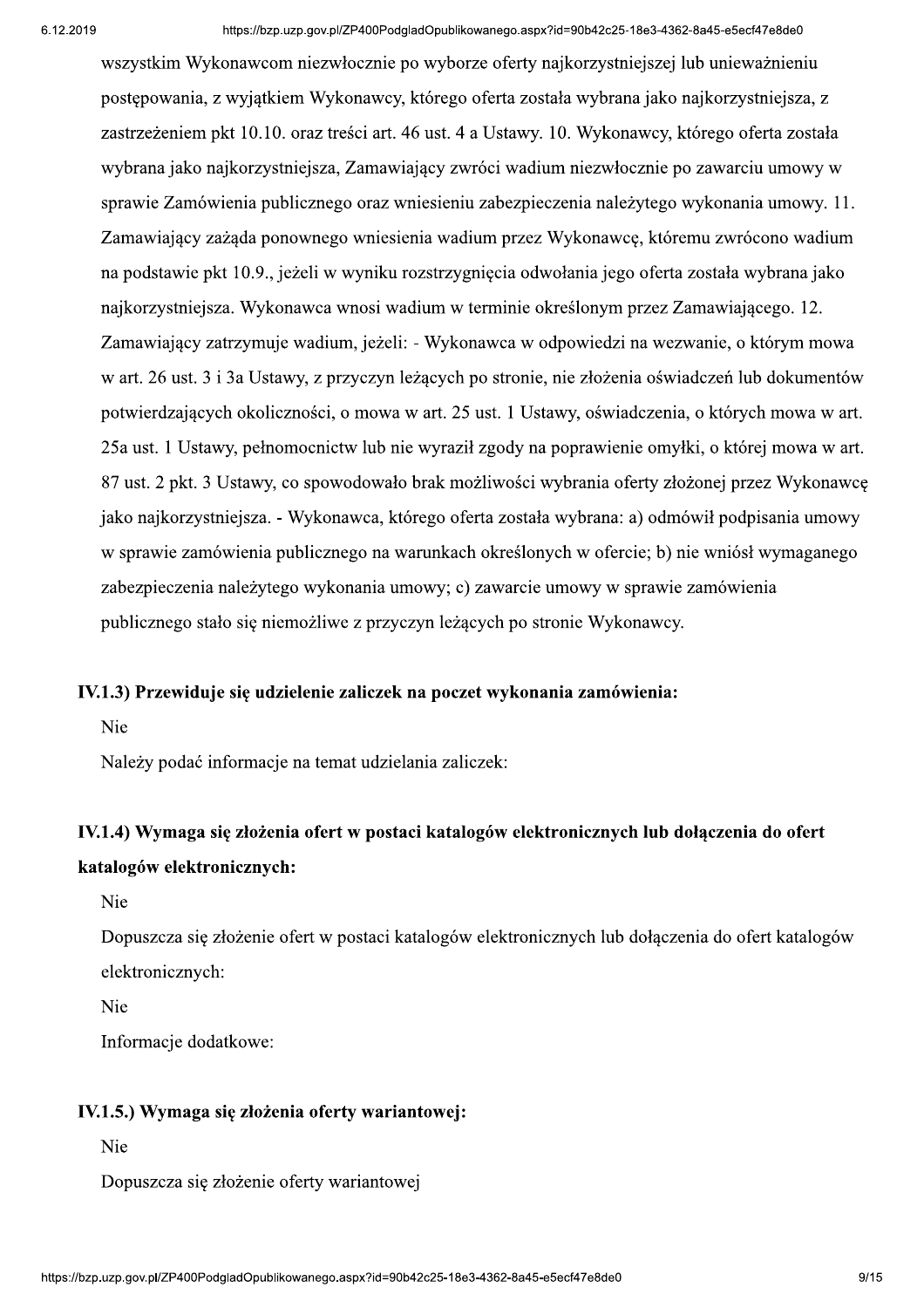wszystkim Wykonawcom niezwłocznie po wyborze oferty najkorzystniejszej lub unieważnieniu postępowania, z wyjatkiem Wykonawcy, którego oferta została wybrana jako najkorzystniejsza, z zastrzeżeniem pkt 10.10. oraz treści art. 46 ust. 4 a Ustawy. 10. Wykonawcy, którego oferta została wybrana jako najkorzystniejsza, Zamawiający zwróci wadium niezwłocznie po zawarciu umowy w sprawie Zamówienia publicznego oraz wniesieniu zabezpieczenia należytego wykonania umowy. 11. Zamawiający zażąda ponownego wniesienia wadium przez Wykonawcę, któremu zwrócono wadium na podstawie pkt 10.9., jeżeli w wyniku rozstrzygnięcia odwołania jego oferta została wybrana jako najkorzystniejsza. Wykonawca wnosi wadium w terminie określonym przez Zamawiającego. 12. Zamawiający zatrzymuje wadium, jeżeli: - Wykonawca w odpowiedzi na wezwanie, o którym mowa w art. 26 ust. 3 i 3a Ustawy, z przyczyn leżących po stronie, nie złożenia oświadczeń lub dokumentów potwierdzających okoliczności, o mowa w art. 25 ust. 1 Ustawy, oświadczenia, o których mowa w art. 25a ust. 1 Ustawy, pełnomocnictw lub nie wyraził zgody na poprawienie omyłki, o której mowa w art. 87 ust. 2 pkt. 3 Ustawy, co spowodowało brak możliwości wybrania oferty złożonej przez Wykonawcę jako najkorzystniejsza. - Wykonawca, którego oferta została wybrana: a) odmówił podpisania umowy w sprawie zamówienia publicznego na warunkach określonych w ofercie; b) nie wniósł wymaganego zabezpieczenia należytego wykonania umowy; c) zawarcie umowy w sprawie zamówienia publicznego stało się niemożliwe z przyczyn leżących po stronie Wykonawcy.

#### IV.1.3) Przewiduje się udzielenie zaliczek na poczęt wykonania zamówienia:

Nie

Należy podać informacie na temat udzielania zaliczek:

# IV.1.4) Wymaga się złożenia ofert w postaci katalogów elektronicznych lub dołączenia do ofert katalogów elektronicznych:

Nie

Dopuszcza się złożenie ofert w postaci katalogów elektronicznych lub dołączenia do ofert katalogów elektronicznych:

Nie

Informacje dodatkowe:

#### IV.1.5.) Wymaga się złożenia oferty wariantowej:

Nie

Dopuszcza się złożenie oferty wariantowej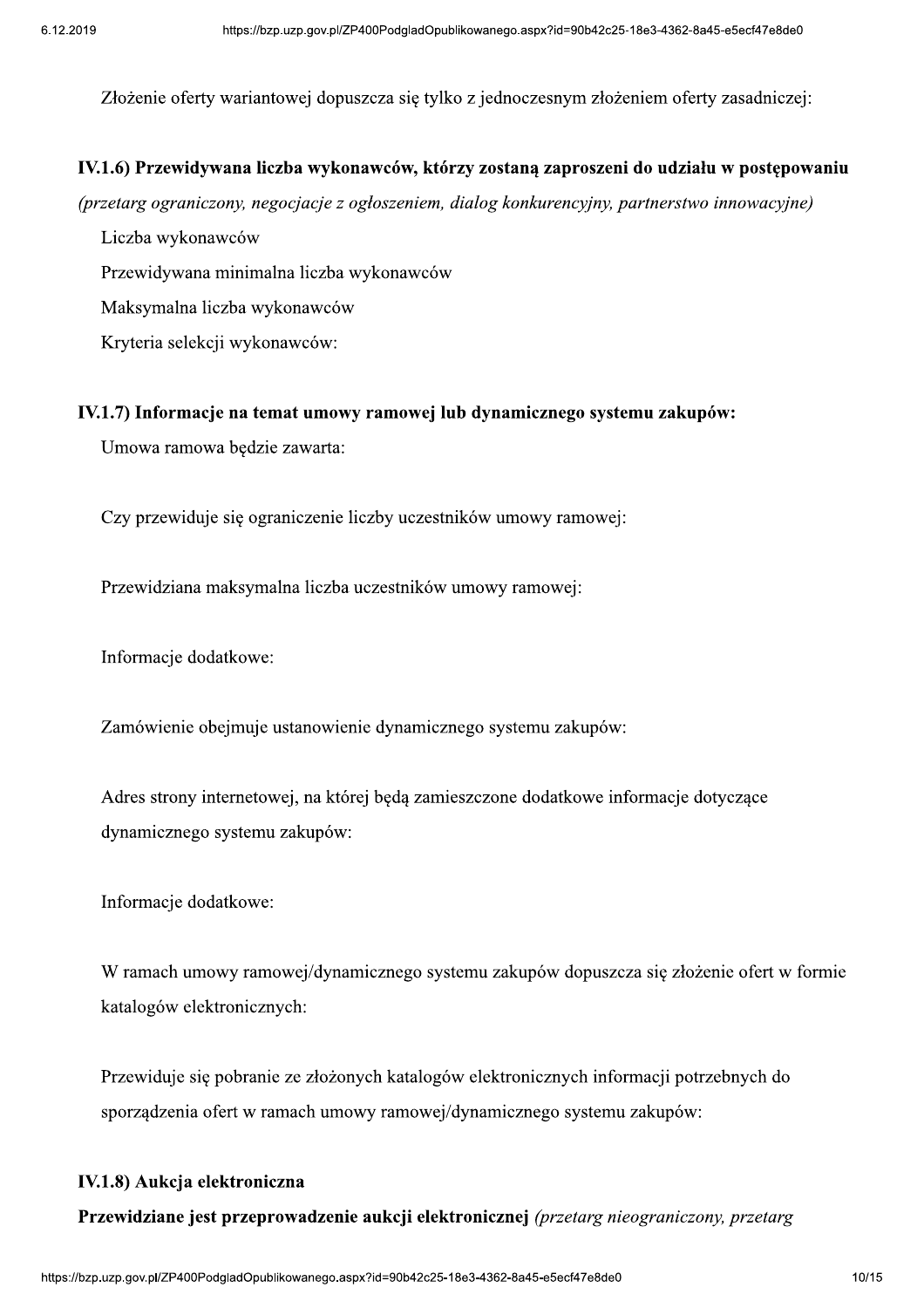8e3-4362-8a45-e5ecf47e8de0<br>niem oferty zasadniczej:<br> Złożenie oferty wariantowej dopuszcza się tylko z jednoczesnym złożeniem oferty zasadniczej:

#### IV.1.6) Przewidywana liczba wykonawców, którzy zostaną zaproszeni do udziału w postępowaniu

(przetarg ograniczony, negocjacje z ogłoszeniem, dialog konkurencyjny, partnerstwo innowacyjne)

Liczba wykonawców

Przewidywana minimalna liczba wykonawców

Maksymalna liczba wykonawców

Kryteria selekcji wykonawców:

#### IV.1.7) Informacje na temat umowy ramowej lub dynamicznego systemu zakupów:

Umowa ramowa będzie zawarta:

Czy przewiduje się ograniczenie liczby uczestników umowy ramowej:

Przewidziana maksymalna liczba uczestników umowy ramowej:

Informacje dodatkowe:

Zamówienie obejmuje ustanowienie dynamicznego systemu zakupów:

Adres strony internetowej, na której będą zamieszczone dodatkowe informacje dotyczące dynamicznego systemu zakupów:

Informacje dodatkowe:

W ramach umowy ramowej/dynamicznego systemu zakupów dopuszcza się złożenie ofert w formie katalogów elektronicznych:

Przewiduje się pobranie ze złożonych katalogów elektronicznych informacji potrzebnych do sporządzenia ofert w ramach umowy ramowej/dynamicznego systemu zakupów:

#### IV.1.8) Aukcja elektroniczna

**ronicznej** *(przetarg nieograniczony, przetarg*<br>8e3-4362-8a45-e5ecf47e8de0<br>10 **Przewidziane jest przeprowadzenie aukcji elektronicznej** (przetarg nieograniczony, przetarg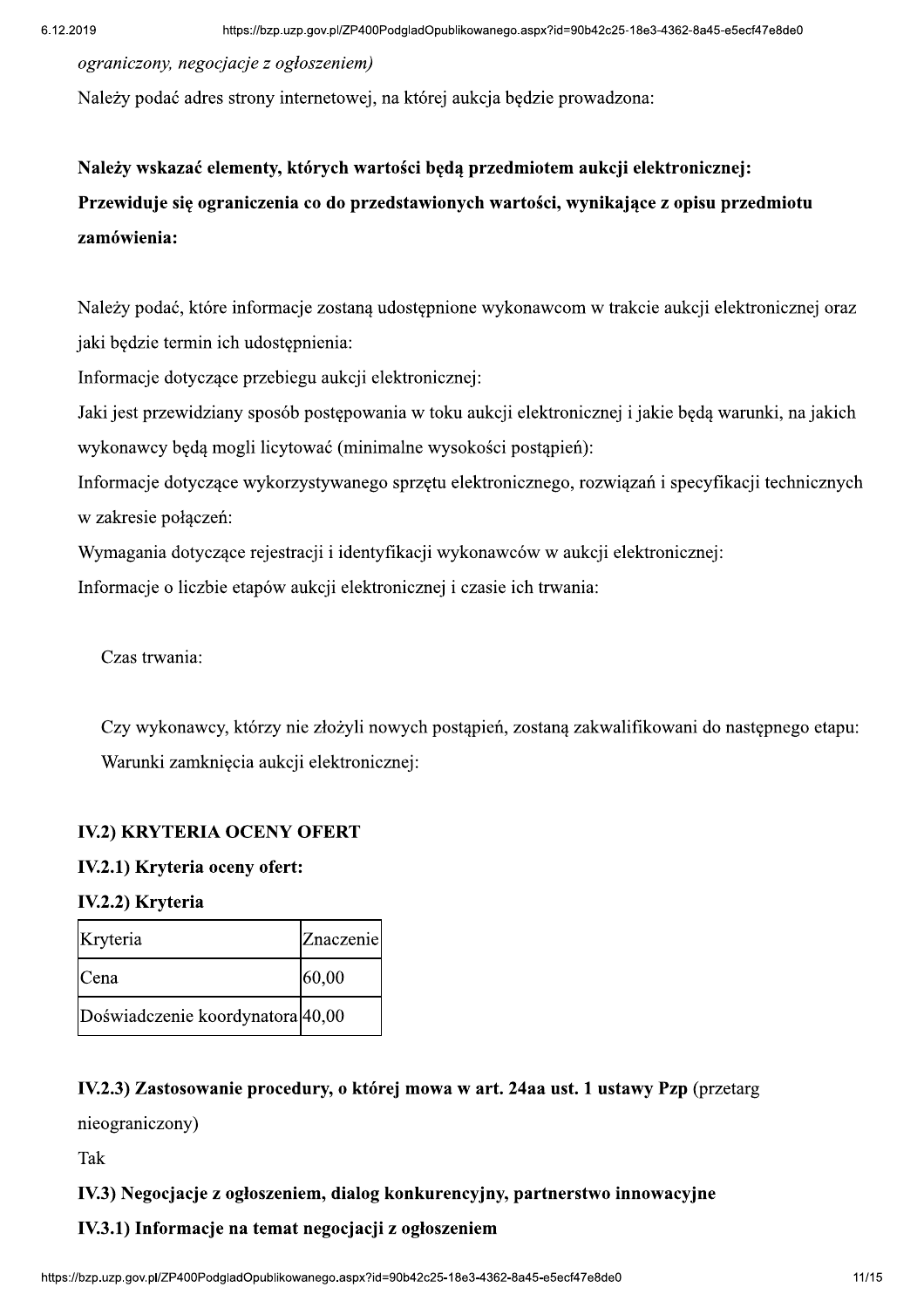ograniczony, negocjacje z ogłoszeniem)

Należy podać adres strony internetowej, na której aukcja będzie prowadzona:

# Należy wskazać elementy, których wartości będą przedmiotem aukcji elektronicznej: Przewiduje się ograniczenia co do przedstawionych wartości, wynikające z opisu przedmiotu zamówienia:

Należy podać, które informacje zostaną udostępnione wykonawcom w trakcie aukcji elektronicznej oraz jaki będzie termin ich udostępnienia:

Informacje dotyczące przebiegu aukcji elektronicznej:

Jaki jest przewidziany sposób postępowania w toku aukcji elektronicznej i jakie będą warunki, na jakich wykonawcy będą mogli licytować (minimalne wysokości postąpień):

Informacje dotyczące wykorzystywanego sprzętu elektronicznego, rozwiązań i specyfikacji technicznych w zakresie połączeń:

Wymagania dotyczące rejestracji i identyfikacji wykonawców w aukcji elektronicznej:

Informacie o liczbie etapów aukcji elektronicznej i czasie ich trwania:

Czas trwania:

Czy wykonawcy, którzy nie złożyli nowych postąpień, zostaną zakwalifikowani do następnego etapu: Warunki zamknięcia aukcji elektronicznej:

#### **IV.2) KRYTERIA OCENY OFERT**

#### IV.2.1) Kryteria oceny ofert:

IV.2.2) Kryteria

| Kryteria                         | Znaczenie |
|----------------------------------|-----------|
| <b>C</b> ena                     | 60,00     |
| Doświadczenie koordynatora 40,00 |           |

#### IV.2.3) Zastosowanie procedury, o której mowa w art. 24aa ust. 1 ustawy Pzp (przetarg

nieograniczony)

Tak

#### IV.3) Negocjacje z ogłoszeniem, dialog konkurencyjny, partnerstwo innowacyjne

#### IV.3.1) Informacje na temat negocjacji z ogłoszeniem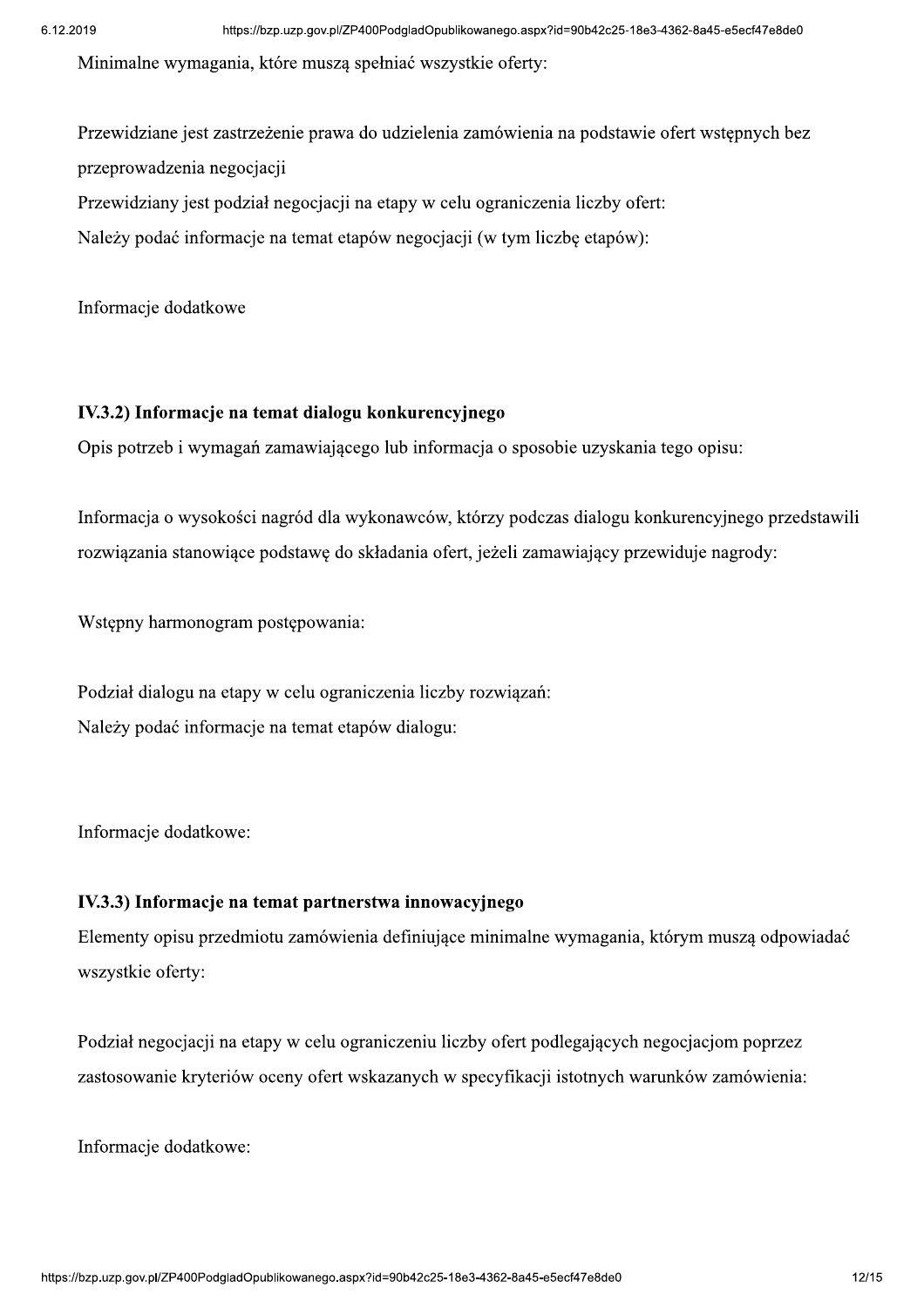Minimalne wymagania, które musza spełniać wszystkie oferty:

Przewidziane jest zastrzeżenie prawa do udzielenia zamówienia na podstawie ofert wstępnych bez przeprowadzenia negocjacji Przewidziany jest podział negocjacji na etapy w celu ograniczenia liczby ofert:

Należy podać informacje na temat etapów negocjacji (w tym liczbę etapów):

Informacje dodatkowe

#### IV.3.2) Informacje na temat dialogu konkurencyjnego

Opis potrzeb i wymagań zamawiającego lub informacja o sposobie uzyskania tego opisu:

Informacja o wysokości nagród dla wykonawców, którzy podczas dialogu konkurencyjnego przedstawili rozwiązania stanowiące podstawę do składania ofert, jeżeli zamawiający przewiduje nagrody:

Wstepny harmonogram postepowania:

Podział dialogu na etapy w celu ograniczenia liczby rozwiązań: Należy podać informacje na temat etapów dialogu:

Informacje dodatkowe:

#### IV.3.3) Informacje na temat partnerstwa innowacyjnego

Elementy opisu przedmiotu zamówienia definiujące minimalne wymagania, którym muszą odpowiadać wszystkie oferty:

Podział negocjacji na etapy w celu ograniczeniu liczby ofert podlegających negocjacjom poprzez zastosowanie kryteriów oceny ofert wskazanych w specyfikacji istotnych warunków zamówienia:

Informacje dodatkowe: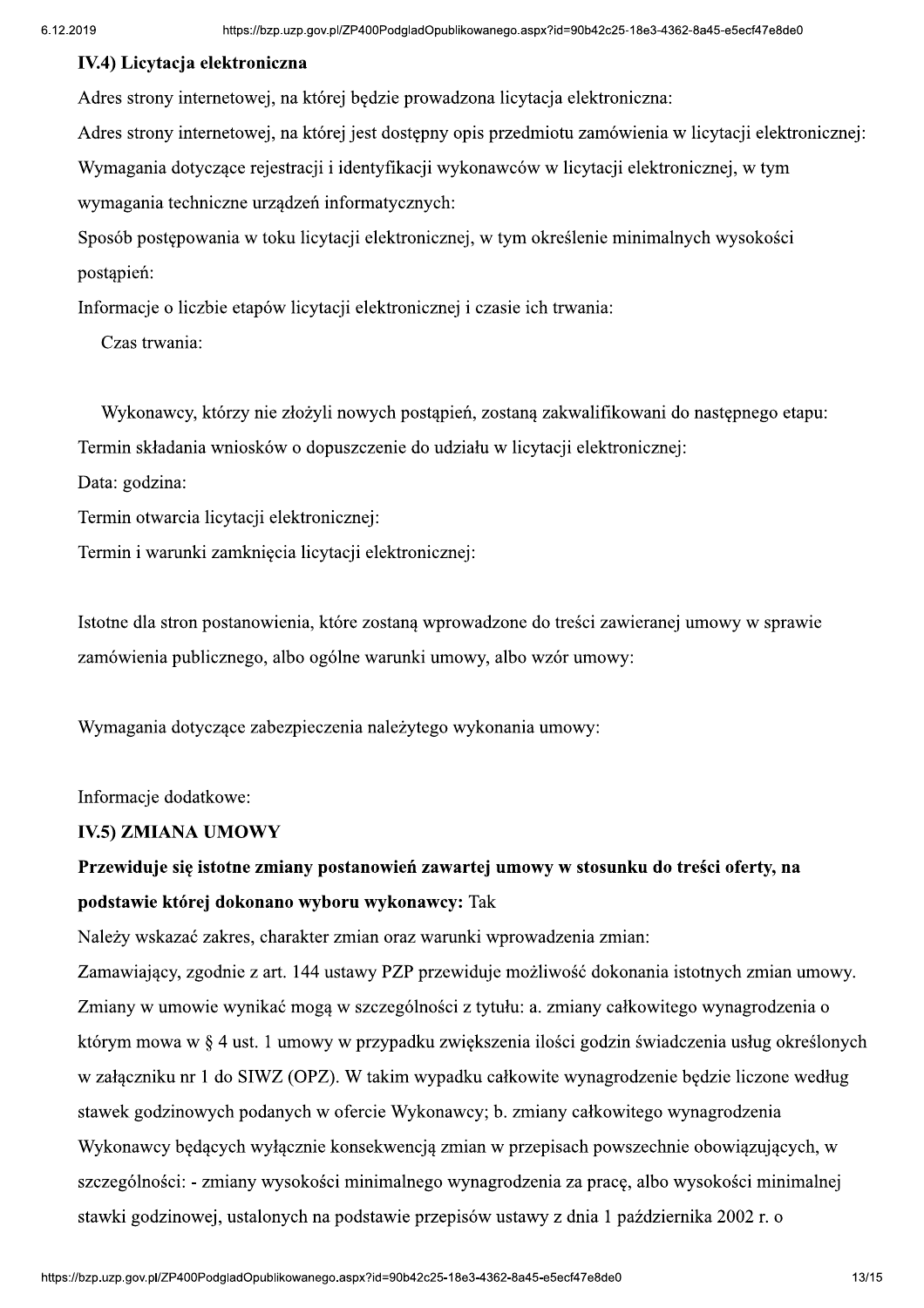#### IV.4) Licvtacja elektroniczna

Adres strony internetowej, na której bedzie prowadzona licytacja elektroniczna:

8e3-4362-8a45-e5ecf47e8de0<br>czna:<br>enia w licytacji elektronicznej: Adres strony internetowej, na której jest dostępny opis przedmiotu zamówienia w licytacji elektronicznej:

Wymagania dotyczące rejestracji i identyfikacji wykonawców w licytacji elektronicznej, w tym wymagania techniczne urządzeń informatycznych:

Sposób postepowania w toku licytacji elektronicznej, w tym określenie minimalnych wysokości postapień:

Informacje o liczbie etapów licytacji elektronicznej i czasie ich trwania:

Czas trwania:

Wykonawcy, którzy nie złożyli nowych postąpień, zostaną zakwalifikowani do następnego etapu:

Termin składania wniosków o dopuszczenie do udziału w licytacji elektronicznej:

Data: godzina:

Termin otwarcia licytacji elektronicznej:

Termin i warunki zamknięcia licytacji elektronicznej:

Istotne dla stron postanowienia, które zostana wprowadzone do treści zawieranej umowy w sprawie zamówienia publicznego, albo ogólne warunki umowy, albo wzór umowy:

Wymagania dotyczące zabezpieczenia należytego wykonania umowy:

Informacje dodatkowe:

#### IV.5) ZMIANA UMOWY

# Przewiduje się istotne zmiany postanowień zawartej umowy w stosunku do treści oferty, na podstawie której dokonano wyboru wykonawcy: Tak

Należy wskazać zakres, charakter zmian oraz warunki wprowadzenia zmian:

vynagrodzenia za pracę, albo wysokości minimalnej<br>isów ustawy z dnia 1 października 2002 r. o<br>8e3-4362-8a45-e5ecf47e8de0 Zamawiający, zgodnie z art. 144 ustawy PZP przewiduje możliwość dokonania istotnych zmian umowy. Zmiany w umowie wynikać mogą w szczególności z tytułu: a. zmiany całkowitego wynagrodzenia o którym mowa w § 4 ust. 1 umowy w przypadku zwiększenia ilości godzin świadczenia usług określonych w załączniku nr 1 do SIWZ (OPZ). W takim wypadku całkowite wynagrodzenie będzie liczone według stawek godzinowych podanych w ofercie Wykonawcy; b. zmiany całkowitego wynagrodzenia Wykonawcy będących wyłącznie konsekwencją zmian w przepisach powszechnie obowiązujących, w szczególności: - zmiany wysokości minimalnego wynagrodzenia za pracę, albo wysokości minimalnej stawki godzinowej, ustalonych na podstawie przepisów ustawy z dnia 1 października 2002 r. o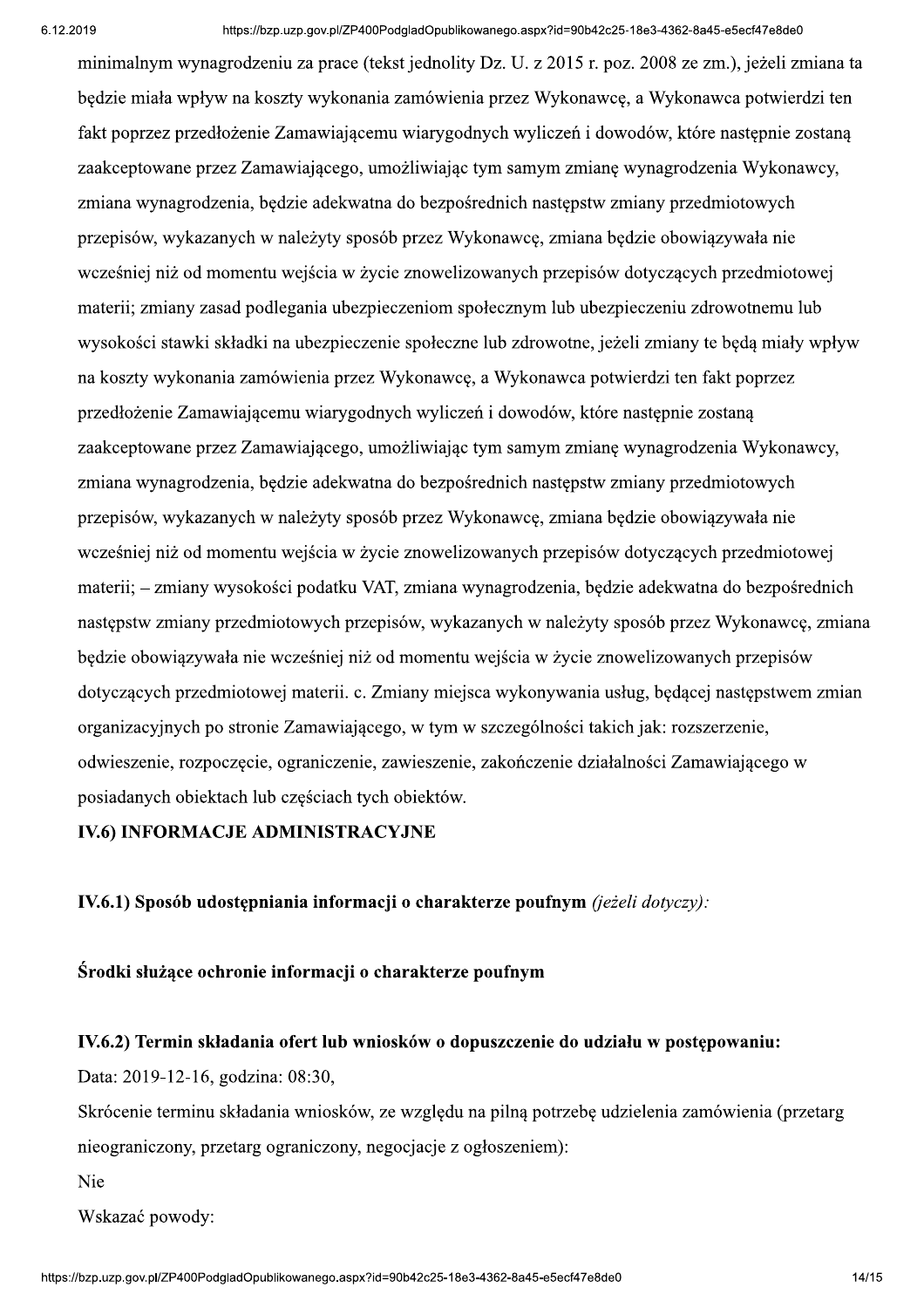minimalnym wynagrodzeniu za prace (tekst jednolity Dz. U. z 2015 r. poz. 2008 ze zm.), jeżeli zmiana ta bedzie miała wpływ na koszty wykonania zamówienia przez Wykonawce, a Wykonawca potwierdzi ten fakt poprzez przedłożenie Zamawiającemu wiarygodnych wyliczeń i dowodów, które następnie zostaną zaakceptowane przez Zamawiającego, umożliwiając tym samym zmianę wynagrodzenia Wykonawcy, zmiana wynagrodzenia, będzie adekwatna do bezpośrednich następstw zmiany przedmiotowych przepisów, wykazanych w należyty sposób przez Wykonawce, zmiana będzie obowiązywała nie wcześniej niż od momentu wejścia w życie znowelizowanych przepisów dotyczących przedmiotowej materii; zmiany zasad podlegania ubezpieczeniom społecznym lub ubezpieczeniu zdrowotnemu lub wysokości stawki składki na ubezpieczenie społeczne lub zdrowotne, jeżeli zmiany te będą miały wpływ na koszty wykonania zamówienia przez Wykonawcę, a Wykonawca potwierdzi ten fakt poprzez przedłożenie Zamawiającemu wiarygodnych wyliczeń i dowodów, które następnie zostaną zaakceptowane przez Zamawiającego, umożliwiając tym samym zmianę wynagrodzenia Wykonawcy, zmiana wynagrodzenia, będzie adekwatna do bezpośrednich następstw zmiany przedmiotowych przepisów, wykazanych w należyty sposób przez Wykonawcę, zmiana będzie obowiązywała nie wcześniej niż od momentu wejścia w życie znowelizowanych przepisów dotyczących przedmiotowej materii; – zmiany wysokości podatku VAT, zmiana wynagrodzenia, bedzie adekwatna do bezpośrednich nastepstw zmiany przedmiotowych przepisów, wykazanych w należyty sposób przez Wykonawce, zmiana bedzie obowiązywała nie wcześniej niż od momentu wejścia w życie znowelizowanych przepisów dotyczących przedmiotowej materii, c. Zmiany miejsca wykonywania usług, bedacej nastepstwem zmian organizacyjnych po stronie Zamawiającego, w tym w szczególności takich jak: rozszerzenie, odwieszenie, rozpoczecie, ograniczenie, zawieszenie, zakończenie działalności Zamawiającego w posiadanych obiektach lub częściach tych obiektów.

#### **IV.6) INFORMACJE ADMINISTRACYJNE**

IV.6.1) Sposób udostępniania informacji o charakterze poufnym (jeżeli dotyczy):

Środki służące ochronie informacji o charakterze poufnym

#### IV.6.2) Termin składania ofert lub wniosków o dopuszczenie do udziału w postępowaniu:

Data: 2019-12-16, godzina: 08:30,

Skrócenie terminu składania wniosków, ze względu na pilną potrzebę udzielenia zamówienia (przetarg nieograniczony, przetarg ograniczony, negocjącie z ogłoszeniem):

Nie

Wskazać powody: